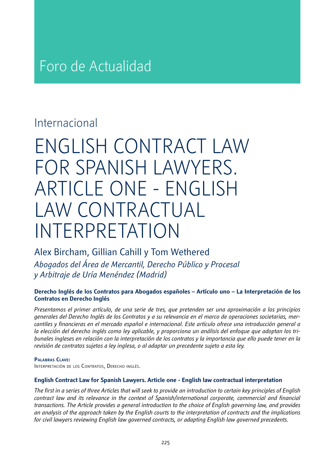# Foro de Actualidad

### Internacional

# ENGLISH CONTRACT LAW FOR SPANISH LAWYERS. ARTICLE ONE - ENGLISH LAW CONTRACTUAL INTERPRETATION

Alex Bircham, Gillian Cahill y Tom Wethered *Abogados del Área de Mercantil, Derecho Público y Procesal y Arbitraje de Uría Menéndez (Madrid)*

#### **Derecho Inglés de los Contratos para Abogados españoles – Artículo uno – La Interpretación de los Contratos en Derecho Inglés**

*Presentamos el primer artículo, de una serie de tres, que pretenden ser una aproximación a los principios generales del Derecho Inglés de los Contratos y a su relevancia en el marco de operaciones societarias, mercantiles y financieras en el mercado español e internacional. Este artículo ofrece una introducción general a la elección del derecho inglés como ley aplicable, y proporciona un análisis del enfoque que adoptan los tribunales ingleses en relación con la interpretación de los contratos y la importancia que ello puede tener en la revisión de contratos sujetos a ley inglesa, o al adaptar un precedente sujeto a esta ley.* 

#### **Palabras Clave:**

Interpretación de los Contratos, Derecho inglés.

#### **English Contract Law for Spanish Lawyers. Article one - English law contractual interpretation**

*The first in a series of three Articles that will seek to provide an introduction to certain key principles of English contract law and its relevance in the context of Spanish/international corporate, commercial and financial transactions. The Article provides a general introduction to the choice of English governing law, and provides an analysis of the approach taken by the English courts to the interpretation of contracts and the implications for civil lawyers reviewing English law governed contracts, or adapting English law governed precedents.*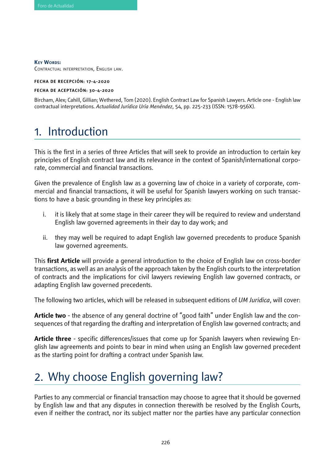**KEY WORDS:** Contractual interpretation, English law.

**FECHA DE RECEPCIÓN: 17-4-2020**

#### **FECHA DE ACEPTACIÓN: 30-4-2020**

Bircham, Alex; Cahill, Gillian; Wethered, Tom (2020). English Contract Law for Spanish Lawyers. Article one - English law contractual interpretations. *Actualidad Jurídica Uría Menéndez*, 54, pp. 225-233 (ISSN: 1578-956X).

### 1. Introduction

This is the first in a series of three Articles that will seek to provide an introduction to certain key principles of English contract law and its relevance in the context of Spanish/international corporate, commercial and financial transactions.

Given the prevalence of English law as a governing law of choice in a variety of corporate, commercial and financial transactions, it will be useful for Spanish lawyers working on such transactions to have a basic grounding in these key principles as:

- i. it is likely that at some stage in their career they will be required to review and understand English law governed agreements in their day to day work; and
- ii. they may well be required to adapt English law governed precedents to produce Spanish law governed agreements.

This **first Article** will provide a general introduction to the choice of English law on cross-border transactions, as well as an analysis of the approach taken by the English courts to the interpretation of contracts and the implications for civil lawyers reviewing English law governed contracts, or adapting English law governed precedents.

The following two articles, which will be released in subsequent editions of *UM Juridica*, will cover:

**Article two** - the absence of any general doctrine of "good faith" under English law and the consequences of that regarding the drafting and interpretation of English law governed contracts; and

**Article three** - specific differences/issues that come up for Spanish lawyers when reviewing English law agreements and points to bear in mind when using an English law governed precedent as the starting point for drafting a contract under Spanish law.

# 2. Why choose English governing law?

Parties to any commercial or financial transaction may choose to agree that it should be governed by English law and that any disputes in connection therewith be resolved by the English Courts, even if neither the contract, nor its subject matter nor the parties have any particular connection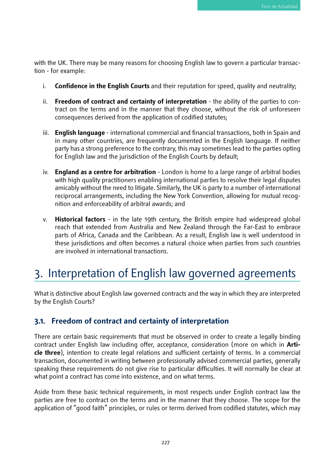with the UK. There may be many reasons for choosing English law to govern a particular transaction - for example:

- i. **Confidence in the English Courts** and their reputation for speed, quality and neutrality;
- ii. **Freedom of contract and certainty of interpretation** the ability of the parties to contract on the terms and in the manner that they choose, without the risk of unforeseen consequences derived from the application of codified statutes;
- iii. **English language** international commercial and financial transactions, both in Spain and in many other countries, are frequently documented in the English language. If neither party has a strong preference to the contrary, this may sometimes lead to the parties opting for English law and the jurisdiction of the English Courts by default;
- iv. **England as a centre for arbitration** London is home to a large range of arbitral bodies with high quality practitioners enabling international parties to resolve their legal disputes amicably without the need to litigate. Similarly, the UK is party to a number of international reciprocal arrangements, including the New York Convention, allowing for mutual recognition and enforceability of arbitral awards; and
- v. **Historical factors** in the late 19th century, the British empire had widespread global reach that extended from Australia and New Zealand through the Far-East to embrace parts of Africa, Canada and the Caribbean. As a result, English law is well understood in these jurisdictions and often becomes a natural choice when parties from such countries are involved in international transactions.

## 3. Interpretation of English law governed agreements

What is distinctive about English law governed contracts and the way in which they are interpreted by the English Courts?

### **3.1. Freedom of contract and certainty of interpretation**

There are certain basic requirements that must be observed in order to create a legally binding contract under English law including offer, acceptance, consideration (more on which in **Article three**), intention to create legal relations and sufficient certainty of terms. In a commercial transaction, documented in writing between professionally advised commercial parties, generally speaking these requirements do not give rise to particular difficulties. It will normally be clear at what point a contract has come into existence, and on what terms.

Aside from these basic technical requirements, in most respects under English contract law the parties are free to contract on the terms and in the manner that they choose. The scope for the application of "good faith" principles, or rules or terms derived from codified statutes, which may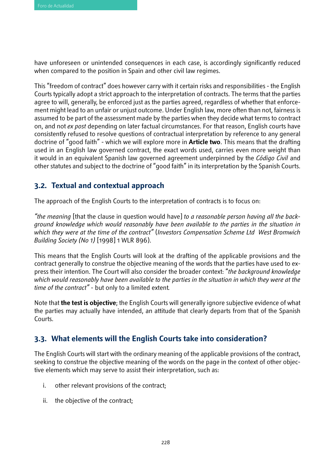have unforeseen or unintended consequences in each case, is accordingly significantly reduced when compared to the position in Spain and other civil law regimes.

This "freedom of contract" does however carry with it certain risks and responsibilities - the English Courts typically adopt a strict approach to the interpretation of contracts. The terms that the parties agree to will, generally, be enforced just as the parties agreed, regardless of whether that enforcement might lead to an unfair or unjust outcome. Under English law, more often than not, fairness is assumed to be part of the assessment made by the parties when they decide what terms to contract on, and not *ex post* depending on later factual circumstances. For that reason, English courts have consistently refused to resolve questions of contractual interpretation by reference to any general doctrine of "good faith" - which we will explore more in **Article two**. This means that the drafting used in an English law governed contract, the exact words used, carries even more weight than it would in an equivalent Spanish law governed agreement underpinned by the *Código Civil* and other statutes and subject to the doctrine of "good faith" in its interpretation by the Spanish Courts.

### **3.2. Textual and contextual approach**

The approach of the English Courts to the interpretation of contracts is to focus on:

*"the meaning* [that the clause in question would have] *to a reasonable person having all the background knowledge which would reasonably have been available to the parties in the situation in which they were at the time of the contract"* (*Investors Compensation Scheme Ltd West Bromwich Building Society (No 1)* [1998] 1 WLR 896).

This means that the English Courts will look at the drafting of the applicable provisions and the contract generally to construe the objective meaning of the words that the parties have used to express their intention. The Court will also consider the broader context: "*the background knowledge which would reasonably have been available to the parties in the situation in which they were at the time of the contract"* - but only to a limited extent*.* 

Note that **the test is objective**; the English Courts will generally ignore subjective evidence of what the parties may actually have intended, an attitude that clearly departs from that of the Spanish Courts.

### **3.3. What elements will the English Courts take into consideration?**

The English Courts will start with the ordinary meaning of the applicable provisions of the contract, seeking to construe the objective meaning of the words on the page in the context of other objective elements which may serve to assist their interpretation, such as:

- i. other relevant provisions of the contract;
- ii. the objective of the contract;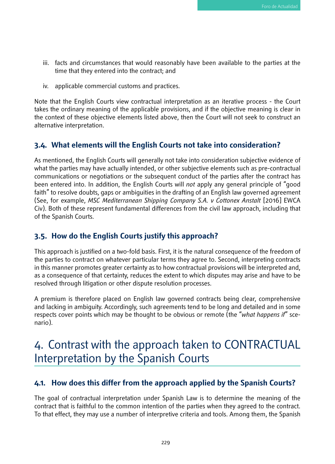- iii. facts and circumstances that would reasonably have been available to the parties at the time that they entered into the contract; and
- iv. applicable commercial customs and practices.

Note that the English Courts view contractual interpretation as an iterative process - the Court takes the ordinary meaning of the applicable provisions, and if the objective meaning is clear in the context of these objective elements listed above, then the Court will not seek to construct an alternative interpretation.

### **3.4. What elements will the English Courts not take into consideration?**

As mentioned, the English Courts will generally not take into consideration subjective evidence of what the parties may have actually intended, or other subjective elements such as pre-contractual communications or negotiations or the subsequent conduct of the parties after the contract has been entered into. In addition, the English Courts will *not* apply any general principle of "good faith" to resolve doubts, gaps or ambiguities in the drafting of an English law governed agreement (See, for example, *MSC Mediterranean Shipping Company S.A. v Cottonex Anstalt* [2016] EWCA Civ). Both of these represent fundamental differences from the civil law approach, including that of the Spanish Courts.

#### **3.5. How do the English Courts justify this approach?**

This approach is justified on a two-fold basis. First, it is the natural consequence of the freedom of the parties to contract on whatever particular terms they agree to. Second, interpreting contracts in this manner promotes greater certainty as to how contractual provisions will be interpreted and, as a consequence of that certainty, reduces the extent to which disputes may arise and have to be resolved through litigation or other dispute resolution processes.

A premium is therefore placed on English law governed contracts being clear, comprehensive and lacking in ambiguity. Accordingly, such agreements tend to be long and detailed and in some respects cover points which may be thought to be obvious or remote (the "*what happens if*" scenario).

## 4. Contrast with the approach taken to CONTRACTUAL Interpretation by the Spanish Courts

### **4.1. How does this differ from the approach applied by the Spanish Courts?**

The goal of contractual interpretation under Spanish Law is to determine the meaning of the contract that is faithful to the common intention of the parties when they agreed to the contract. To that effect, they may use a number of interpretive criteria and tools. Among them, the Spanish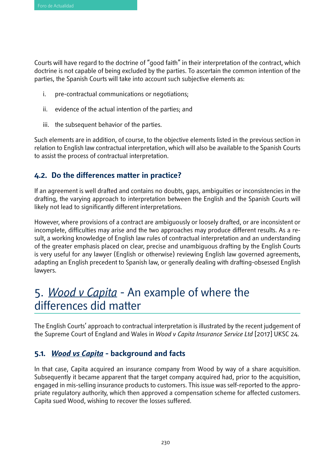Courts will have regard to the doctrine of "good faith" in their interpretation of the contract, which doctrine is not capable of being excluded by the parties. To ascertain the common intention of the parties, the Spanish Courts will take into account such subjective elements as:

- i. pre-contractual communications or negotiations;
- ii. evidence of the actual intention of the parties; and
- iii. the subsequent behavior of the parties.

Such elements are in addition, of course, to the objective elements listed in the previous section in relation to English law contractual interpretation, which will also be available to the Spanish Courts to assist the process of contractual interpretation.

### **4.2. Do the differences matter in practice?**

If an agreement is well drafted and contains no doubts, gaps, ambiguities or inconsistencies in the drafting, the varying approach to interpretation between the English and the Spanish Courts will likely not lead to significantly different interpretations.

However, where provisions of a contract are ambiguously or loosely drafted, or are inconsistent or incomplete, difficulties may arise and the two approaches may produce different results. As a result, a working knowledge of English law rules of contractual interpretation and an understanding of the greater emphasis placed on clear, precise and unambiguous drafting by the English Courts is very useful for any lawyer (English or otherwise) reviewing English law governed agreements, adapting an English precedent to Spanish law, or generally dealing with drafting-obsessed English lawyers.

## 5. *Wood v Capita* - An example of where the differences did matter

The English Courts' approach to contractual interpretation is illustrated by the recent judgement of the Supreme Court of England and Wales in *Wood v Capita Insurance Service Ltd* [2017] UKSC 24.

### **5.1.** *Wood vs Capita* **- background and facts**

In that case, Capita acquired an insurance company from Wood by way of a share acquisition. Subsequently it became apparent that the target company acquired had, prior to the acquisition, engaged in mis-selling insurance products to customers. This issue was self-reported to the appropriate regulatory authority, which then approved a compensation scheme for affected customers. Capita sued Wood, wishing to recover the losses suffered.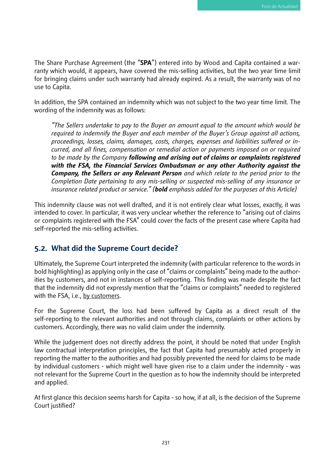The Share Purchase Agreement (the "**SPA**") entered into by Wood and Capita contained a warranty which would, it appears, have covered the mis-selling activities, but the two year time limit for bringing claims under such warranty had already expired. As a result, the warranty was of no use to Capita.

In addition, the SPA contained an indemnity which was not subject to the two year time limit. The wording of the indemnity was as follows:

*"The Sellers undertake to pay to the Buyer an amount equal to the amount which would be required to indemnify the Buyer and each member of the Buyer's Group against all actions, proceedings, losses, claims, damages, costs, charges, expenses and liabilities suffered or incurred, and all fines, compensation or remedial action or payments imposed on or required to be made by the Company following and arising out of claims or complaints registered with the FSA, the Financial Services Ombudsman or any other Authority against the Company, the Sellers or any Relevant Person and which relate to the period prior to the Completion Date pertaining to any mis-selling or suspected mis-selling of any insurance or insurance related product or service." (bold emphasis added for the purposes of this Article)*

This indemnity clause was not well drafted, and it is not entirely clear what losses, exactly, it was intended to cover. In particular, it was very unclear whether the reference to "arising out of claims or complaints registered with the FSA" could cover the facts of the present case where Capita had self-reported the mis-selling activities.

### **5.2. What did the Supreme Court decide?**

Ultimately, the Supreme Court interpreted the indemnity (with particular reference to the words in bold highlighting) as applying only in the case of "claims or complaints" being made to the authorities by customers, and not in instances of self-reporting. This finding was made despite the fact that the indemnity did not expressly mention that the "claims or complaints" needed to registered with the FSA, i.e., by customers.

For the Supreme Court, the loss had been suffered by Capita as a direct result of the self-reporting to the relevant authorities and not through claims, complaints or other actions by customers. Accordingly, there was no valid claim under the indemnity.

While the judgement does not directly address the point, it should be noted that under English law contractual interpretation principles, the fact that Capita had presumably acted properly in reporting the matter to the authorities and had possibly prevented the need for claims to be made by individual customers - which might well have given rise to a claim under the indemnity - was not relevant for the Supreme Court in the question as to how the indemnity should be interpreted and applied.

At first glance this decision seems harsh for Capita - so how, if at all, is the decision of the Supreme Court justified?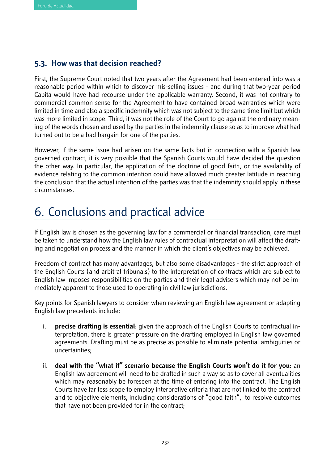### **5.3. How was that decision reached?**

First, the Supreme Court noted that two years after the Agreement had been entered into was a reasonable period within which to discover mis-selling issues - and during that two-year period Capita would have had recourse under the applicable warranty. Second, it was not contrary to commercial common sense for the Agreement to have contained broad warranties which were limited in time and also a specific indemnity which was not subject to the same time limit but which was more limited in scope. Third, it was not the role of the Court to go against the ordinary meaning of the words chosen and used by the parties in the indemnity clause so as to improve what had turned out to be a bad bargain for one of the parties.

However, if the same issue had arisen on the same facts but in connection with a Spanish law governed contract, it is very possible that the Spanish Courts would have decided the question the other way. In particular, the application of the doctrine of good faith, or the availability of evidence relating to the common intention could have allowed much greater latitude in reaching the conclusion that the actual intention of the parties was that the indemnity should apply in these circumstances.

# 6. Conclusions and practical advice

If English law is chosen as the governing law for a commercial or financial transaction, care must be taken to understand how the English law rules of contractual interpretation will affect the drafting and negotiation process and the manner in which the client's objectives may be achieved.

Freedom of contract has many advantages, but also some disadvantages - the strict approach of the English Courts (and arbitral tribunals) to the interpretation of contracts which are subject to English law imposes responsibilities on the parties and their legal advisers which may not be immediately apparent to those used to operating in civil law jurisdictions.

Key points for Spanish lawyers to consider when reviewing an English law agreement or adapting English law precedents include:

- i. **precise drafting is essential**: given the approach of the English Courts to contractual interpretation, there is greater pressure on the drafting employed in English law governed agreements. Drafting must be as precise as possible to eliminate potential ambiguities or uncertainties;
- ii. **deal with the "what if" scenario because the English Courts won't do it for you**: an English law agreement will need to be drafted in such a way so as to cover all eventualities which may reasonably be foreseen at the time of entering into the contract. The English Courts have far less scope to employ interpretive criteria that are not linked to the contract and to objective elements, including considerations of "good faith", to resolve outcomes that have not been provided for in the contract;